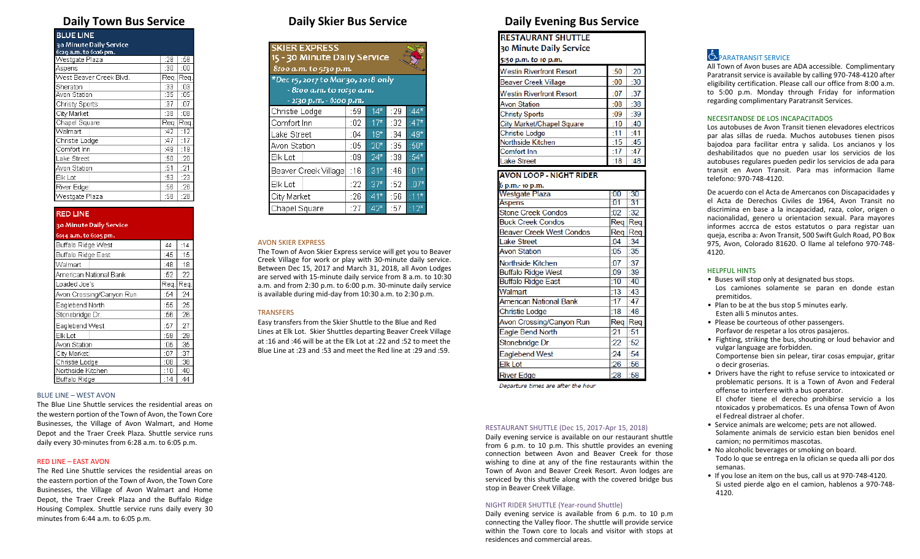| <b>BLUE LINE</b>        |      |     |
|-------------------------|------|-----|
| 30 Minute Daily Service |      |     |
| 6:29 a.m. to 6:06 pm.   |      |     |
| Westgate Plaza          | :28  | :58 |
| Aspens                  | :30  | :00 |
| West Beaver Creek Blvd. | Req. | Req |
| Sheraton                | :33  | :03 |
| Avon Station            | :35  | :05 |
| Christy Sports          | :37  | :07 |
| City Market             | :38  | :08 |
| Chapel Square           | Req. | Req |
| Walmart                 | :42  | :12 |
| Christie Lodge          | :47  | :17 |
| Comfort Inn             | :49  | :19 |
| Lake Street             | :50  | :20 |
| Avon Station            | :51  | :21 |
| Elk Lot                 | :53  | :23 |
| River Edge              | :56  | :26 |
| Westgate Plaza          | :58  | :28 |

**RED LINE** 

| 30 Minute Daily Service  |      |      |
|--------------------------|------|------|
| 6:44 a.m. to 6:05 pm.    |      |      |
| Buffalo Ridge West       | 44   | :14  |
| Buffalo Ridge East       | :45  | :15  |
| Walmart                  | :48  | :18  |
| American National Bank   | :52  | :22  |
| Loaded Joe's             | Rea. | Reg. |
| Avon Crossing/Canyon Run | :54  | :24  |
| Eaglebend North          | :55  | :25  |
| Stonebridge Dr.          | :56  | :26  |
| Eaglebend West           | :57  | :27  |
| Elk Lot                  | :59  | :29  |
| Avon Station             | :05  | :35  |
| City Market              | :07  | :37  |
| Christie Lodge           | :08  | :38  |
| Northside Kitchen        | ∙1∏  | ∙4∏  |

## Buffalo Ridge BLUE LINE – WEST AVON

The Blue Line Shuttle services the residential areas on the western portion of the Town of Avon, the Town Core Businesses, the Village of Avon Walmart, and Home Depot and the Traer Creek Plaza. Shuttle service runs daily every 30-minutes from 6:28 a.m. to 6:05 p.m.

 $\pm 14$  $-44$ 

#### RED LINE – EAST AVON

The Red Line Shuttle services the residential areas on the eastern portion of the Town of Avon, the Town Core Businesses, the Village of Avon Walmart and Home Depot, the Traer Creek Plaza and the Buffalo Ridge Housing Complex. Shuttle service runs daily every 30 minutes from 6:44 a.m. to 6:05 p.m.

| <b>SKIER EXPRESS</b><br>15 - 30 Minute Daily Service<br>8:00 a.m. to 5:30 p.m.<br>*Dec 15, 2017 to Mar 30, 2018 only<br>- 8:00 a.m. to 10:30 a.m.<br>- 2/30 p.m. - 6/00 p.m. |     |                      |     |                              |
|------------------------------------------------------------------------------------------------------------------------------------------------------------------------------|-----|----------------------|-----|------------------------------|
| Christie Lodge                                                                                                                                                               | :59 | $14*$                | :29 | $144*$                       |
| Comfort Inn                                                                                                                                                                  | :02 | $-17*$               | :32 | $(47*$                       |
| Lake Street                                                                                                                                                                  | :04 | $119*$               | :34 | $149*$                       |
| Avon Station                                                                                                                                                                 | :05 | $:20^*$              | :35 | $:50*$                       |
| Elk Lot                                                                                                                                                                      | :09 | $24*$                | :39 | :54*                         |
| Beaver Creek Village                                                                                                                                                         | :16 | $131*$               | :46 | $\overline{\overline{0}}$ 1* |
| Elk Lot                                                                                                                                                                      | :22 | $^{\circ}37^{\star}$ | :52 | $1.07*$                      |
| City Market                                                                                                                                                                  | :26 | $141*$               | :56 | $-11*$                       |
| Chapel Square                                                                                                                                                                | :27 | $142*$               | :57 | $:12*$                       |

#### AVON SKIER EXPRESS

The Town of Avon Skier Express service will get you to Beaver Creek Village for work or play with 30-minute daily service. Between Dec 15, 2017 and March 31, 2018, all Avon Lodges are served with 15-minute daily service from 8 a.m. to 10:30 a.m. and from 2:30 p.m. to 6:00 p.m. 30-minute daily service is available during mid-day from 10:30 a.m. to 2:30 p.m.

### **TRANSFERS**

Easy transfers from the Skier Shuttle to the Blue and Red Lines at Elk Lot. Skier Shuttles departing Beaver Creek Village at :16 and :46 will be at the Elk Lot at :22 and :52 to meet the Blue Line at :23 and :53 and meet the Red line at :29 and :59.

# **Daily Town Bus Service Daily Skier Bus Service Daily Evening Bus Service**

**RESTAURANT SHUTTLE** 30 Minute Daily Service

| 5:50 p.m. to 10 p.m.            |     |     |
|---------------------------------|-----|-----|
| <b>Westin Riverfront Resort</b> | :50 | :20 |
| <b>Beaver Creek Village</b>     | :00 | :30 |
| <b>Westin Riverfront Resort</b> | :07 | :37 |
| <b>Avon Station</b>             | :08 | :38 |
| <b>Christy Sports</b>           | :09 | :39 |
| City Market/Chapel Square       | :10 | :40 |
| <b>Christie Lodge</b>           | :11 | :41 |
| Northside Kitchen               | :15 | :45 |
| Comfort Inn                     | :17 | :47 |
| <b>Lake Street</b>              | :18 | :48 |

### **AVON LOOP - NIGHT RIDER**

| 6 p.m.- 10 p.m.                 |       |     |
|---------------------------------|-------|-----|
| Westgate Plaza                  | :00   | -30 |
| Aspens                          | :01   | -31 |
| <b>Stone Creek Condos</b>       | :02   | :32 |
| <b>Buck Creek Condos</b>        | Rea   | Req |
| <b>Beaver Creek West Condos</b> | Rea   | Reg |
| <b>Lake Street</b>              | :04   | :34 |
| Avon Station                    | :05   | :35 |
| Northside Kitchen               | :07   | :37 |
| <b>Buffalo Ridge West</b>       | :09   | :39 |
| <b>Buffalo Ridge East</b>       | :10   | :40 |
| Walmart                         | :13   | :43 |
| <b>American National Bank</b>   | :17   | :47 |
| Christie Lodge                  | :18   | :48 |
| Avon Crossing/Canyon Run        | Req   | Rea |
| Eagle Bend North                | $-21$ | :51 |
| Stonebridge Dr.                 | :22   | :52 |
| Eaglebend West                  | :24   | :54 |
| <b>Elk Lot</b>                  | :26   | :56 |
| <b>River Edge</b>               | 28    | :58 |

Departure times are after the hour

#### RESTAURANT SHUTTLE (Dec 15, 2017-Apr 15, 2018)

Daily evening service is available on our restaurant shuttle from 6 p.m. to 10 p.m. This shuttle provides an evening connection between Avon and Beaver Creek for those wishing to dine at any of the fine restaurants within the Town of Avon and Beaver Creek Resort. Avon lodges are serviced by this shuttle along with the covered bridge bus stop in Beaver Creek Village.

#### NIGHT RIDER SHUTTLE (Year-round Shuttle)

Daily evening service is available from 6 p.m. to 10 p.m connecting the Valley floor. The shuttle will provide service within the Town core to locals and visitor with stops at residences and commercial areas.

# **E.** PARATRANSIT SERVICE

All Town of Avon buses are ADA accessible. Complimentary Paratransit service is available by calling 970-748-4120 after eligibility certification. Please call our office from 8:00 a.m. to 5:00 p.m. Monday through Friday for information regarding complimentary Paratransit Services.

#### NECESITANDSE DE LOS INCAPACITADOS

Los autobuses de Avon Transit tienen elevadores electricos par alas sillas de rueda. Muchos autobuses tienen pisos bajodoa para facilitar entra y salida. Los ancianos y los deshabilitados que no pueden usar los servicios de los autobuses regulares pueden pedir los servicios de ada para transit en Avon Transit. Para mas informacion llame telefono: 970-748-4120.

De acuerdo con el Acta de Amercanos con Discapacidades y el Acta de Derechos Civiles de 1964, Avon Transit no discrimina en base a la incapacidad, raza, color, origen o nacionalidad, genero u orientacion sexual. Para mayores informes accrca de estos estatutos o para registar uan queja, escriba a: Avon Transit, 500 Swift Gulch Road, PO Box 975, Avon, Colorado 81620. O llame al telefono 970-748- 4120.

#### HELPFUL HINTS

- Buses will stop only at designated bus stops. Los camiones solamente se paran en donde estan
- premitidos. • Plan to be at the bus stop 5 minutes early. Esten alli 5 minutos antes.
- Please be courteous of other passengers. Porfavor de respetar a los otros pasajeros.
- Fighting, striking the bus, shouting or loud behavior and vulgar language are forbidden. Comportense bien sin pelear, tirar cosas empujar, gritar o decir groserias.
- Drivers have the right to refuse service to intoxicated or problematic persons. It is a Town of Avon and Federal offense to interfere with a bus operator. El chofer tiene el derecho prohibirse servicio a los ntoxicados y probematicos. Es una ofensa Town of Avon el Fedreal distraer al chofer.
- Service animals are welcome; pets are not allowed. Solamente animals de servicio estan bien benidos enel camion; no permitimos mascotas.
- No alcoholic beverages or smoking on board. Todo lo que se entrega en la ofician se queda alli por dos semanas.
- If you lose an item on the bus, call us at 970-748-4120. Si usted pierde algo en el camion, hablenos a 970-748- 4120.